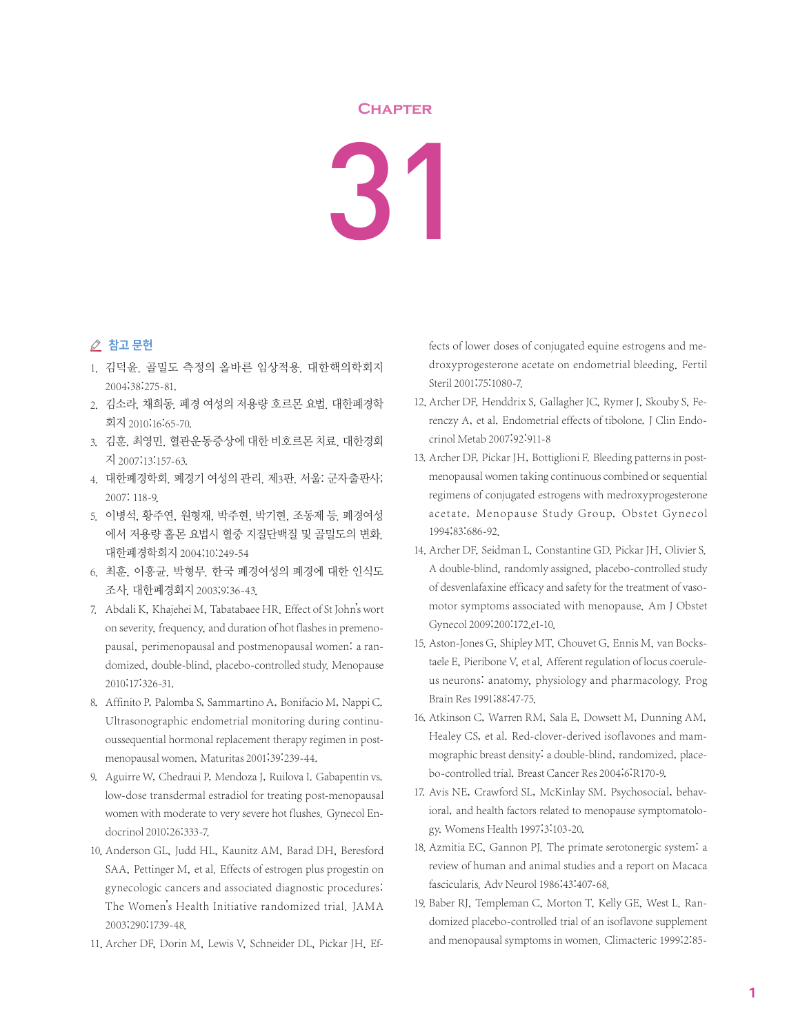## **Chapter**

31

## △ 참고 문헌

- 1. 김덕윤. 골밀도 측정의 올바른 임상적용. 대한핵의학회지 2004;38:275-81.
- 2. 김소라, 채희동. 폐경 여성의 저용량 호르몬 요법. 대한폐경학 회지 2010;16:65-70.
- 3. 김훈, 최영민. 혈관운동증상에 대한 비호르몬 치료. 대한경회 지 2007;13:157-63.
- 4. 대한폐경학회. 폐경기 여성의 관리. 제3판. 서울: 군자출판사; 2007: 118-9.
- 5. 이병석, 황주연, 원형재, 박주현, 박기현, 조동제 등. 폐경여성 에서 저용량 홀몬 요법시 혈중 지질단백질 및 골밀도의 변화. 대한폐경학회지 2004;10:249-54
- 6. 최훈, 이홍균, 박형무. 한국 폐경여성의 폐경에 대한 인식도 조사. 대한폐경회지 2003;9:36-43.
- 7. Abdali K, Khajehei M, Tabatabaee HR. Effect of St John's wort on severity, frequency, and duration of hot flashes in premenopausal, perimenopausal and postmenopausal women: a randomized, double-blind, placebo-controlled study. Menopause 2010;17:326-31.
- 8. Affinito P, Palomba S, Sammartino A, Bonifacio M, Nappi C. Ultrasonographic endometrial monitoring during continuoussequential hormonal replacement therapy regimen in postmenopausal women. Maturitas 2001;39:239-44.
- 9. Aguirre W, Chedraui P, Mendoza J, Ruilova I. Gabapentin vs. low-dose transdermal estradiol for treating post-menopausal women with moderate to very severe hot flushes. Gynecol Endocrinol 2010;26:333-7.
- 10. Anderson GL, Judd HL, Kaunitz AM, Barad DH, Beresford SAA, Pettinger M, et al. Effects of estrogen plus progestin on gynecologic cancers and associated diagnostic procedures: The Women's Health Initiative randomized trial. JAMA 2003;290:1739-48.
- 11. Archer DF, Dorin M, Lewis V, Schneider DL, Pickar JH. Ef-

fects of lower doses of conjugated equine estrogens and medroxyprogesterone acetate on endometrial bleeding. Fertil Steril 2001;75:1080-7.

- 12. Archer DF, Henddrix S, Gallagher JC, Rymer J, Skouby S, Ferenczy A, et al. Endometrial effects of tibolone. J Clin Endocrinol Metab 2007;92:911-8
- 13. Archer DF, Pickar JH, Bottiglioni F. Bleeding patterns in postmenopausal women taking continuous combined or sequential regimens of conjugated estrogens with medroxyprogesterone acetate. Menopause Study Group. Obstet Gynecol 1994;83:686-92.
- 14. Archer DF, Seidman L, Constantine GD, Pickar JH, Olivier S. A double-blind, randomly assigned, placebo-controlled study of desvenlafaxine efficacy and safety for the treatment of vasomotor symptoms associated with menopause. Am J Obstet Gynecol 2009;200:172.e1-10.
- 15. Aston-Jones G, Shipley MT, Chouvet G, Ennis M, van Bockstaele E, Pieribone V, et al. Afferent regulation of locus coeruleus neurons: anatomy, physiology and pharmacology. Prog Brain Res 1991;88:47-75.
- 16. Atkinson C, Warren RM, Sala E, Dowsett M, Dunning AM, Healey CS, et al. Red-clover-derived isoflavones and mammographic breast density: a double-blind, randomized, placebo-controlled trial. Breast Cancer Res 2004;6:R170-9.
- 17. Avis NE, Crawford SL, McKinlay SM. Psychosocial, behavioral, and health factors related to menopause symptomatology. Womens Health 1997;3:103-20.
- 18. Azmitia EC, Gannon PJ. The primate serotonergic system: a review of human and animal studies and a report on Macaca fascicularis. Adv Neurol 1986;43:407-68.
- 19. Baber RJ, Templeman C, Morton T, Kelly GE, West L. Randomized placebo-controlled trial of an isoflavone supplement and menopausal symptoms in women. Climacteric 1999;2:85-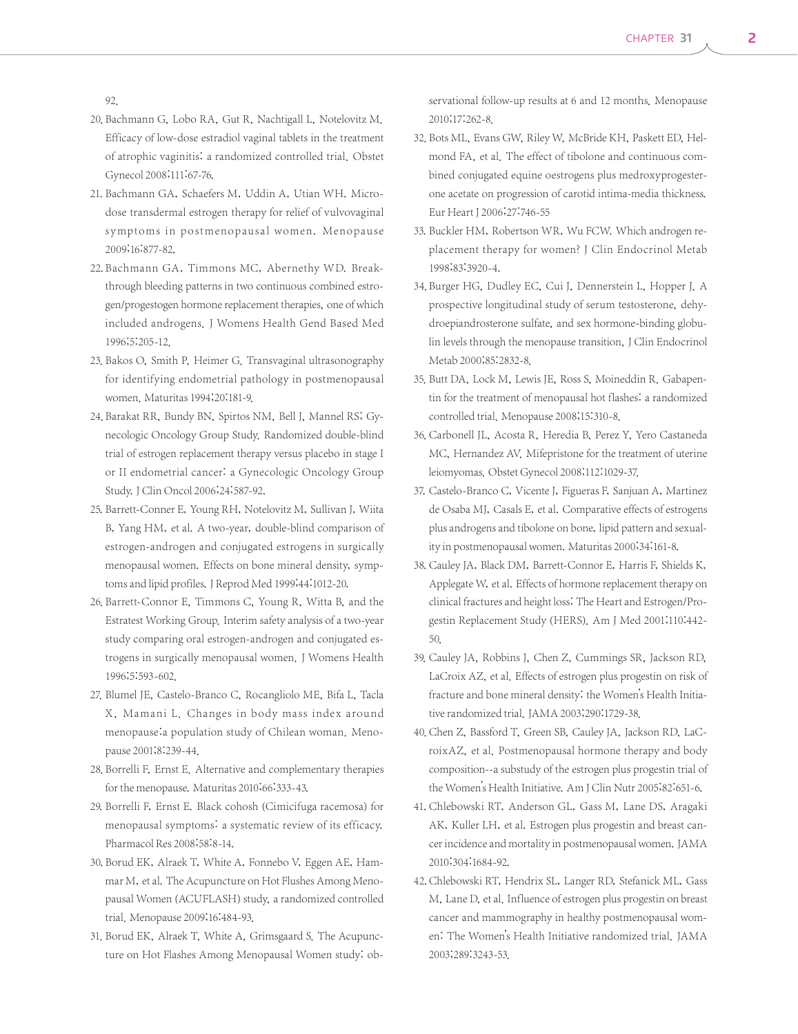92.

- 20. Bachmann G, Lobo RA, Gut R, Nachtigall L, Notelovitz M. Efficacy of low-dose estradiol vaginal tablets in the treatment of atrophic vaginitis: a randomized controlled trial. Obstet Gynecol 2008;111:67-76.
- 21. Bachmann GA, Schaefers M, Uddin A, Utian WH. Microdose transdermal estrogen therapy for relief of vulvovaginal symptoms in postmenopausal women. Menopause 2009;16:877-82.
- 22. Bachmann GA, Timmons MC, Abernethy WD. Breakthrough bleeding patterns in two continuous combined estrogen/progestogen hormone replacement therapies, one of which included androgens. J Womens Health Gend Based Med 1996;5:205-12.
- 23. Bakos O, Smith P, Heimer G. Transvaginal ultrasonography for identifying endometrial pathology in postmenopausal women. Maturitas 1994;20:181-9.
- 24. Barakat RR, Bundy BN, Spirtos NM, Bell J, Mannel RS; Gynecologic Oncology Group Study. Randomized double-blind trial of estrogen replacement therapy versus placebo in stage I or II endometrial cancer: a Gynecologic Oncology Group Study.J Clin Oncol 2006;24:587-92.
- 25. Barrett-Conner E, Young RH, Notelovitz M, Sullivan J, Wiita B, Yang HM, et al. A two-year, double-blind comparison of estrogen-androgen and conjugated estrogens in surgically menopausal women. Effects on bone mineral density, symptoms and lipid profiles. J Reprod Med 1999;44:1012-20.
- 26. Barrett-Connor E, Timmons C, Young R, Witta B, and the Estratest Working Group. Interim safety analysis of a two-year study comparing oral estrogen-androgen and conjugated estrogens in surgically menopausal women. J Womens Health 1996;5:593-602.
- 27. Blumel JE, Castelo-Branco C, Rocangliolo ME, Bifa L, Tacla X, Mamani L. Changes in body mass index around menopause:a population study of Chilean woman. Menopause 2001;8:239-44.
- 28. Borrelli F, Ernst E. Alternative and complementary therapies for the menopause. Maturitas 2010;66:333-43.
- 29. Borrelli F, Ernst E. Black cohosh (Cimicifuga racemosa) for menopausal symptoms: a systematic review of its efficacy. Pharmacol Res 2008;58:8-14.
- 30. Borud EK, Alraek T, White A, Fonnebo V, Eggen AE, Hammar M, et al. The Acupuncture on Hot Flushes Among Menopausal Women (ACUFLASH) study, a randomized controlled trial. Menopause 2009;16:484-93.
- 31. Borud EK, Alraek T, White A, Grimsgaard S. The Acupuncture on Hot Flashes Among Menopausal Women study: ob-

servational follow-up results at 6 and 12 months. Menopause 2010;17:262-8.

- 32. Bots ML, Evans GW, Riley W, McBride KH, Paskett ED, Helmond FA, et al. The effect of tibolone and continuous combined conjugated equine oestrogens plus medroxyprogesterone acetate on progression of carotid intima-media thickness. Eur Heart J 2006;27:746-55
- 33. Buckler HM, Robertson WR, Wu FCW. Which androgen replacement therapy for women? J Clin Endocrinol Metab 1998;83:3920-4.
- 34. Burger HG, Dudley EC, Cui J, Dennerstein L, Hopper J. A prospective longitudinal study of serum testosterone, dehydroepiandrosterone sulfate, and sex hormone-binding globulin levels through the menopause transition, J Clin Endocrinol Metab 2000;85:2832-8.
- 35. Butt DA, Lock M, Lewis JE, Ross S, Moineddin R. Gabapentin for the treatment of menopausal hot flashes: a randomized controlled trial. Menopause 2008;15:310-8.
- 36. Carbonell JL, Acosta R, Heredia B, Perez Y, Yero Castaneda MC, Hernandez AV. Mifepristone for the treatment of uterine leiomyomas. Obstet Gynecol 2008;112:1029-37.
- 37. Castelo-Branco C, Vicente J, Figueras F, Sanjuan A, Martinez de Osaba MJ, Casals E, et al. Comparative effects of estrogens plus androgens and tibolone on bone, lipid pattern and sexuality in postmenopausal women. Maturitas 2000;34:161-8.
- 38. Cauley JA, Black DM, Barrett-Connor E, Harris F, Shields K, Applegate W, et al. Effects of hormone replacement therapy on clinical fractures and height loss: The Heart and Estrogen/Progestin Replacement Study (HERS). Am J Med 2001;110:442- 50.
- 39. Cauley JA, Robbins J, Chen Z, Cummings SR, Jackson RD, LaCroix AZ, et al. Effects of estrogen plus progestin on risk of fracture and bone mineral density: the Women's Health Initiative randomized trial. JAMA 2003;290:1729-38.
- 40. Chen Z, Bassford T, Green SB, Cauley JA, Jackson RD, LaCroixAZ, et al. Postmenopausal hormone therapy and body composition--a substudy of the estrogen plus progestin trial of the Women's Health Initiative. Am J Clin Nutr 2005;82:651-6.
- 41. Chlebowski RT, Anderson GL, Gass M, Lane DS, Aragaki AK, Kuller LH, et al. Estrogen plus progestin and breast cancer incidence and mortality in postmenopausal women. JAMA 2010;304:1684-92.
- 42. Chlebowski RT, Hendrix SL, Langer RD, Stefanick ML, Gass M, Lane D, et al. Influence of estrogen plus progestin on breast cancer and mammography in healthy postmenopausal women: The Women's Health Initiative randomized trial. JAMA 2003;289:3243-53.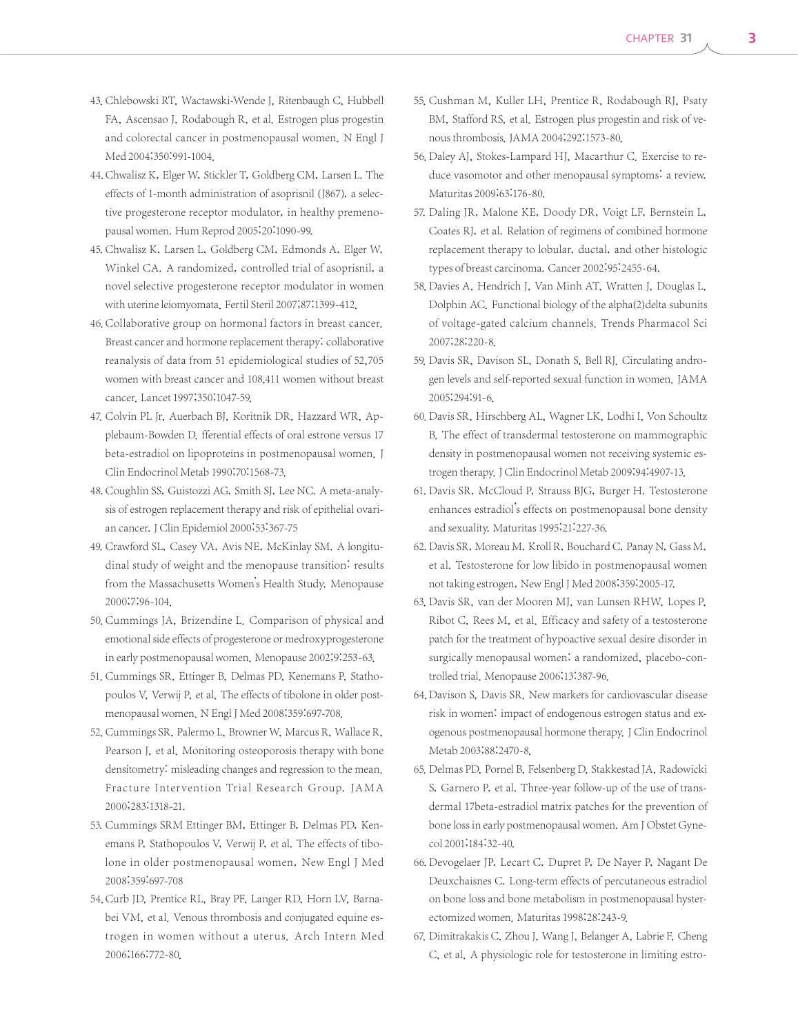- 43. Chlebowski RT, Wactawski-Wende J, Ritenbaugh C, Hubbell FA, Ascensao J, Rodabough R, et al. Estrogen plus progestin and colorectal cancer in postmenopausal women. N Engl J Med 2004;350:991-1004.
- 44. Chwalisz K, Elger W, Stickler T, Goldberg CM, Larsen L. The effects of 1-month administration of asoprisnil (J867), a selective progesterone receptor modulator, in healthy premenopausal women. Hum Reprod 2005;20:1090-99.
- 45. Chwalisz K, Larsen L, Goldberg CM, Edmonds A, Elger W, Winkel CA. A randomized, controlled trial of asoprisnil, a novel selective progesterone receptor modulator in women with uterine leiomyomata. Fertil Steril 2007;87:1399-412.
- 46. Collaborative group on hormonal factors in breast cancer. Breast cancer and hormone replacement therapy: collaborative reanalysis of data from 51 epidemiological studies of 52,705 women with breast cancer and 108,411 women without breast cancer. Lancet 1997;350:1047-59.
- 47. Colvin PL Jr, Auerbach BJ, Koritnik DR, Hazzard WR, Applebaum-Bowden D. fferential effects of oral estrone versus 17 beta-estradiol on lipoproteins in postmenopausal women. J Clin Endocrinol Metab 1990;70:1568-73.
- 48. Coughlin SS, Guistozzi AG, Smith SJ, Lee NC. A meta-analysis of estrogen replacement therapy and risk of epithelial ovarian cancer. J Clin Epidemiol 2000;53:367-75
- 49. Crawford SL, Casey VA, Avis NE, McKinlay SM. A longitudinal study of weight and the menopause transition: results from the Massachusetts Women's Health Study. Menopause 2000;7:96-104.
- 50. Cummings JA, Brizendine L. Comparison of physical and emotional side effects of progesterone or medroxyprogesterone in early postmenopausal women. Menopause 2002;9:253-63.
- 51. Cummings SR, Ettinger B, Delmas PD, Kenemans P, Stathopoulos V, Verwij P, et al. The effects of tibolone in older postmenopausal women. N Engl J Med 2008;359:697-708.
- 52. Cummings SR, Palermo L, Browner W, Marcus R, Wallace R, Pearson J, et al. Monitoring osteoporosis therapy with bone densitometry: misleading changes and regression to the mean. Fracture Intervention Trial Research Group. JA M A 2000;283:1318-21.
- 53. Cummings SRM Ettinger BM, Ettinger B, Delmas PD, Kenemans P, Stathopoulos V, Verwij P, et al. The effects of tibolone in older postmenopausal women, New Engl J Med 2008;359:697-708
- 54. Curb JD, Prentice RL, Bray PF, Langer RD, Horn LV, Barnabei VM, et al. Venous thrombosis and conjugated equine estrogen in women without a uterus. Arch Intern Med 2006;166:772-80.
- 55. Cushman M, Kuller LH, Prentice R, Rodabough RJ, Psaty BM, Stafford RS, et al. Estrogen plus progestin and risk of venous thrombosis. JAMA 2004;292:1573-80.
- 56. Daley AJ, Stokes-Lampard HJ, Macarthur C. Exercise to reduce vasomotor and other menopausal symptoms: a review. Maturitas 2009;63:176-80.
- 57. Daling JR, Malone KE, Doody DR, Voigt LF, Bernstein L, Coates RJ, et al. Relation of regimens of combined hormone replacement therapy to lobular, ductal, and other histologic types of breast carcinoma. Cancer 2002;95:2455-64.
- 58. Davies A, Hendrich J, Van Minh AT, Wratten J, Douglas L, Dolphin AC. Functional biology of the alpha(2)delta subunits of voltage-gated calcium channels. Trends Pharmacol Sci 2007;28:220-8.
- 59. Davis SR, Davison SL, Donath S, Bell RJ. Circulating androgen levels and self-reported sexual function in women. JAMA 2005;294:91-6.
- 60. Davis SR, Hirschberg AL, Wagner LK, Lodhi I, Von Schoultz B. The effect of transdermal testosterone on mammographic density in postmenopausal women not receiving systemic estrogen therapy.J Clin Endocrinol Metab 2009;94:4907-13.
- 61. Davis SR, McCloud P, Strauss BJG, Burger H. Testosterone enhances estradiol's effects on postmenopausal bone density and sexuality. Maturitas 1995;21:227-36.
- 62. Davis SR, Moreau M, Kroll R, Bouchard C, Panay N, Gass M, et al. Testosterone for low libido in postmenopausal women not taking estrogen, New Engl J Med 2008;359:2005-17.
- 63. Davis SR, van der Mooren MJ, van Lunsen RHW, Lopes P, Ribot C, Rees M, et al. Efficacy and safety of a testosterone patch for the treatment of hypoactive sexual desire disorder in surgically menopausal women: a randomized, placebo-controlled trial. Menopause 2006;13:387-96.
- 64. Davison S, Davis SR. New markers for cardiovascular disease risk in women: impact of endogenous estrogen status and exogenous postmenopausal hormone therapy. J Clin Endocrinol Metab 2003;88:2470-8.
- 65. Delmas PD, Pornel B, Felsenberg D, Stakkestad JA, Radowicki S, Garnero P, et al. Three-year follow-up of the use of transdermal 17beta-estradiol matrix patches for the prevention of bone loss in early postmenopausal women. Am J Obstet Gynecol 2001;184:32-40.
- 66. Devogelaer JP, Lecart C, Dupret P, De Nayer P, Nagant De Deuxchaisnes C. Long-term effects of percutaneous estradiol on bone loss and bone metabolism in postmenopausal hysterectomized women. Maturitas 1998;28:243-9.
- 67. Dimitrakakis C, Zhou J, Wang J, Belanger A, Labrie F, Cheng C, et al. A physiologic role for testosterone in limiting estro-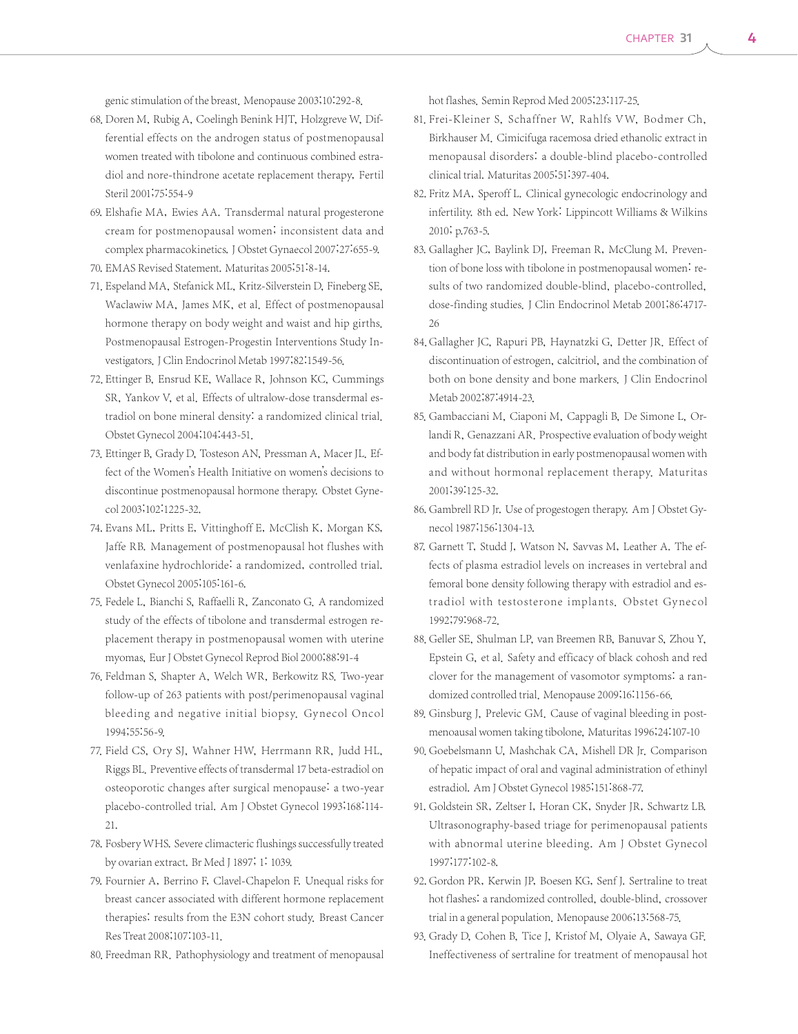genic stimulation of the breast. Menopause 2003;10:292-8.

- 68. Doren M, Rubig A, Coelingh Benink HJT, Holzgreve W, Differential effects on the androgen status of postmenopausal women treated with tibolone and continuous combined estradiol and nore-thindrone acetate replacement therapy, Fertil Steril 2001;75:554-9
- 69. Elshafie MA, Ewies AA. Transdermal natural progesterone cream for postmenopausal women; inconsistent data and complex pharmacokinetics.J Obstet Gynaecol 2007;27:655-9.
- 70. EMAS Revised Statement. Maturitas 2005;51:8-14.
- 71. Espeland MA, Stefanick ML, Kritz-Silverstein D, Fineberg SE, Waclawiw MA, James MK, et al. Effect of postmenopausal hormone therapy on body weight and waist and hip girths. Postmenopausal Estrogen-Progestin Interventions Study Investigators.J Clin Endocrinol Metab 1997;82:1549-56.
- 72. Ettinger B, Ensrud KE, Wallace R, Johnson KC, Cummings SR, Yankov V, et al. Effects of ultralow-dose transdermal estradiol on bone mineral density: a randomized clinical trial. Obstet Gynecol 2004;104:443-51.
- 73. Ettinger B, Grady D, Tosteson AN, Pressman A, Macer JL. Effect of the Women's Health Initiative on women's decisions to discontinue postmenopausal hormone therapy. Obstet Gynecol 2003;102:1225-32.
- 74. Evans ML, Pritts E, Vittinghoff E, McClish K, Morgan KS, Jaffe RB. Management of postmenopausal hot flushes with venlafaxine hydrochloride: a randomized, controlled trial. Obstet Gynecol 2005;105:161-6.
- 75. Fedele L, Bianchi S, Raffaelli R, Zanconato G. A randomized study of the effects of tibolone and transdermal estrogen replacement therapy in postmenopausal women with uterine myomas, Eur J Obstet Gynecol Reprod Biol 2000;88:91-4
- 76. Feldman S, Shapter A, Welch WR, Berkowitz RS. Two-year follow-up of 263 patients with post/perimenopausal vaginal bleeding and negative initial biopsy. Gynecol Oncol 1994;55:56-9.
- 77. Field CS, Ory SJ, Wahner HW, Herrmann RR, Judd HL, Riggs BL. Preventive effects of transdermal 17 beta-estradiol on osteoporotic changes after surgical menopause: a two-year placebo-controlled trial. Am J Obstet Gynecol 1993;168:114- 21.
- 78. Fosbery WHS. Severe climacteric flushings successfully treated by ovarian extract. Br Med J 1897; 1: 1039.
- 79. Fournier A, Berrino F, Clavel-Chapelon F. Unequal risks for breast cancer associated with different hormone replacement therapies: results from the E3N cohort study. Breast Cancer Res Treat 2008;107:103-11.
- 80. Freedman RR. Pathophysiology and treatment of menopausal

hot flashes. Semin Reprod Med 2005;23:117-25.

- 81. Frei-Kleiner S, Schaffner W, Rahlfs VW, Bodmer Ch, Birkhauser M. Cimicifuga racemosa dried ethanolic extract in menopausal disorders: a double-blind placebo-controlled clinical trial. Maturitas 2005;51:397-404.
- 82. Fritz MA, Speroff L. Clinical gynecologic endocrinology and infertility. 8th ed. New York: Lippincott Williams & Wilkins 2010; p.763-5.
- 83. Gallagher JC, Baylink DJ, Freeman R, McClung M. Prevention of bone loss with tibolone in postmenopausal women: results of two randomized double-blind, placebo-controlled, dose-finding studies. J Clin Endocrinol Metab 2001;86:4717- 26
- 84. Gallagher JC, Rapuri PB, Haynatzki G, Detter JR. Effect of discontinuation of estrogen, calcitriol, and the combination of both on bone density and bone markers. J Clin Endocrinol Metab 2002;87:4914-23.
- 85. Gambacciani M, Ciaponi M, Cappagli B, De Simone L, Orlandi R, Genazzani AR. Prospective evaluation of body weight and body fat distribution in early postmenopausal women with and without hormonal replacement therapy. Maturitas 2001;39:125-32.
- 86. Gambrell RD Jr. Use of progestogen therapy. Am J Obstet Gynecol 1987;156:1304-13.
- 87. Garnett T, Studd J, Watson N, Savvas M, Leather A. The effects of plasma estradiol levels on increases in vertebral and femoral bone density following therapy with estradiol and estradiol with testosterone implants. Obstet Gynecol 1992;79:968-72.
- 88. Geller SE, Shulman LP, van Breemen RB, Banuvar S, Zhou Y, Epstein G, et al. Safety and efficacy of black cohosh and red clover for the management of vasomotor symptoms: a randomized controlled trial. Menopause 2009;16:1156-66.
- 89. Ginsburg J, Prelevic GM. Cause of vaginal bleeding in postmenoausal women taking tibolone, Maturitas 1996;24:107-10
- 90. Goebelsmann U, Mashchak CA, Mishell DR Jr. Comparison of hepatic impact of oral and vaginal administration of ethinyl estradiol. Am J Obstet Gynecol 1985;151:868-77.
- 91. Goldstein SR, Zeltser I, Horan CK, Snyder JR, Schwartz LB. Ultrasonography-based triage for perimenopausal patients with abnormal uterine bleeding. Am J Obstet Gynecol 1997;177:102-8.
- 92. Gordon PR, Kerwin JP, Boesen KG, Senf J. Sertraline to treat hot flashes: a randomized controlled, double-blind, crossover trial in a general population. Menopause 2006;13:568-75.
- 93. Grady D, Cohen B, Tice J, Kristof M, Olyaie A, Sawaya GF. Ineffectiveness of sertraline for treatment of menopausal hot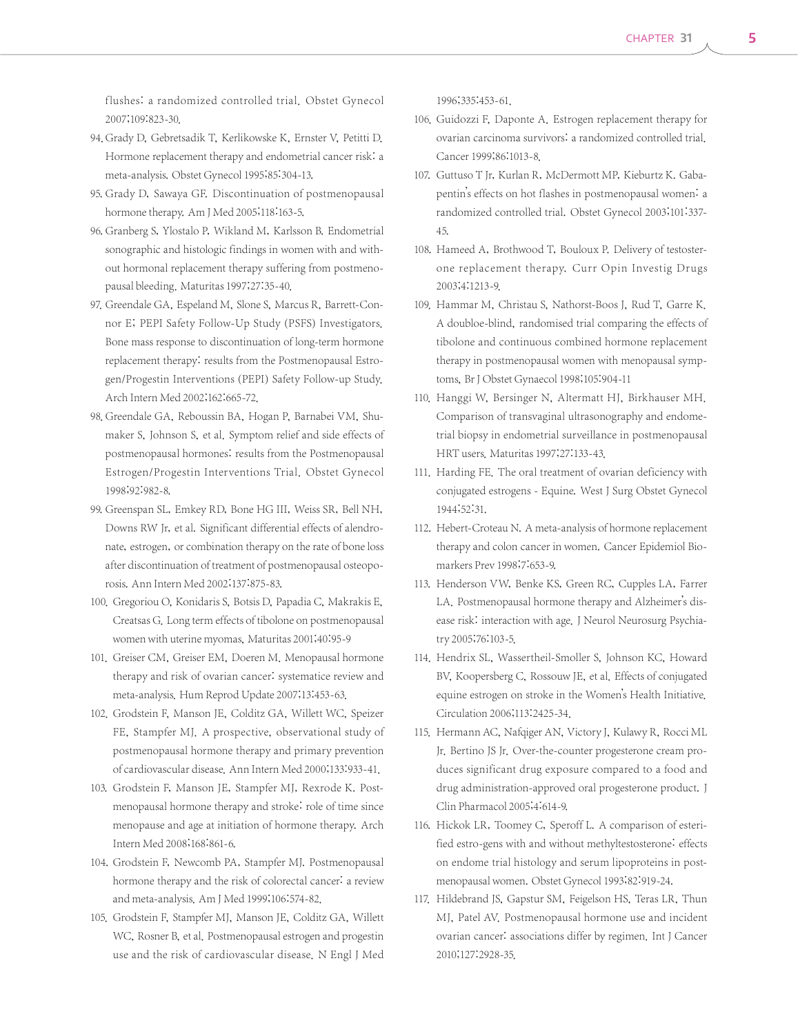flushes: a randomized controlled trial. Obstet Gynecol 2007;109:823-30.

- 94. Grady D. Gebretsadik T. Kerlikowske K. Ernster V. Petitti D. Hormone replacement therapy and endometrial cancer risk: a meta-analysis. Obstet Gynecol 1995;85:304-13.
- 95. Grady D, Sawaya GF. Discontinuation of postmenopausal hormone therapy. Am J Med 2005;118:163-5.
- 96. Granberg S, Ylostalo P, Wikland M, Karlsson B. Endometrial sonographic and histologic findings in women with and without hormonal replacement therapy suffering from postmenopausal bleeding. Maturitas 1997;27:35-40.
- 97. Greendale GA, Espeland M, Slone S, Marcus R, Barrett-Connor E; PEPI Safety Follow-Up Study (PSFS) Investigators. Bone mass response to discontinuation of long-term hormone replacement therapy: results from the Postmenopausal Estrogen/Progestin Interventions (PEPI) Safety Follow-up Study. Arch Intern Med 2002;162:665-72.
- 98. Greendale GA, Reboussin BA, Hogan P, Barnabei VM, Shumaker S, Johnson S, et al. Symptom relief and side effects of postmenopausal hormones: results from the Postmenopausal Estrogen/Progestin Interventions Trial. Obstet Gynecol 1998;92:982-8.
- 99. Greenspan SL, Emkey RD, Bone HG III, Weiss SR, Bell NH, Downs RW Jr, et al. Significant differential effects of alendronate, estrogen, or combination therapy on the rate of bone loss after discontinuation of treatment of postmenopausal osteoporosis. Ann Intern Med 2002;137:875-83.
- 100. Gregoriou O, Konidaris S, Botsis D, Papadia C, Makrakis E, Creatsas G. Long term effects of tibolone on postmenopausal women with uterine myomas, Maturitas 2001;40:95-9
- 101. Greiser CM, Greiser EM, Doeren M. Menopausal hormone therapy and risk of ovarian cancer: systematice review and meta-analysis. Hum Reprod Update 2007;13:453-63.
- 102. Grodstein F, Manson JE, Colditz GA, Willett WC, Speizer FE, Stampfer MJ. A prospective, observational study of postmenopausal hormone therapy and primary prevention of cardiovascular disease. Ann Intern Med 2000;133:933-41.
- 103. Grodstein F, Manson JE, Stampfer MJ, Rexrode K. Postmenopausal hormone therapy and stroke: role of time since menopause and age at initiation of hormone therapy. Arch Intern Med 2008;168:861-6.
- 104. Grodstein F, Newcomb PA, Stampfer MJ. Postmenopausal hormone therapy and the risk of colorectal cancer: a review and meta-analysis. Am J Med 1999;106:574-82.
- 105. Grodstein F, Stampfer MJ, Manson JE, Colditz GA, Willett WC, Rosner B, et al. Postmenopausal estrogen and progestin use and the risk of cardiovascular disease. N Engl J Med

1996;335:453-61.

- 106. Guidozzi F, Daponte A. Estrogen replacement therapy for ovarian carcinoma survivors: a randomized controlled trial. Cancer 1999;86:1013-8.
- 107. Guttuso T Jr, Kurlan R, McDermott MP, Kieburtz K. Gabapentin's effects on hot flashes in postmenopausal women: a randomized controlled trial. Obstet Gynecol 2003;101:337- 45.
- 108. Hameed A, Brothwood T, Bouloux P. Delivery of testosterone replacement therapy. Curr Opin Investig Drugs 2003;4:1213-9.
- 109. Hammar M, Christau S, Nathorst-Boos J, Rud T, Garre K. A doubloe-blind, randomised trial comparing the effects of tibolone and continuous combined hormone replacement therapy in postmenopausal women with menopausal symptoms, Br J Obstet Gynaecol 1998;105:904-11
- 110. Hanggi W, Bersinger N, Altermatt HJ, Birkhauser MH. Comparison of transvaginal ultrasonography and endometrial biopsy in endometrial surveillance in postmenopausal HRT users. Maturitas 1997;27:133-43.
- 111. Harding FE. The oral treatment of ovarian deficiency with conjugated estrogens - Equine. West J Surg Obstet Gynecol 1944;52:31.
- 112. Hebert-Croteau N. A meta-analysis of hormone replacement therapy and colon cancer in women. Cancer Epidemiol Biomarkers Prev 1998;7:653-9.
- 113. Henderson VW, Benke KS, Green RC, Cupples LA, Farrer LA. Postmenopausal hormone therapy and Alzheimer's disease risk: interaction with age. J Neurol Neurosurg Psychiatry 2005;76:103-5.
- 114. Hendrix SL, Wassertheil-Smoller S, Johnson KC, Howard BV, Koopersberg C, Rossouw JE, et al. Effects of conjugated equine estrogen on stroke in the Women's Health Initiative. Circulation 2006;113:2425-34.
- 115. Hermann AC, Nafqiger AN, Victory J, Kulawy R, Rocci ML Jr. Bertino JS Jr. Over-the-counter progesterone cream produces significant drug exposure compared to a food and drug administration-approved oral progesterone product. J Clin Pharmacol 2005;4:614-9.
- 116. Hickok LR, Toomey C, Speroff L. A comparison of esterified estro-gens with and without methyltestosterone: effects on endome trial histology and serum lipoproteins in postmenopausal women. Obstet Gynecol 1993;82:919-24.
- 117. Hildebrand JS, Gapstur SM, Feigelson HS, Teras LR, Thun MJ, Patel AV. Postmenopausal hormone use and incident ovarian cancer: associations differ by regimen. Int J Cancer 2010;127:2928-35.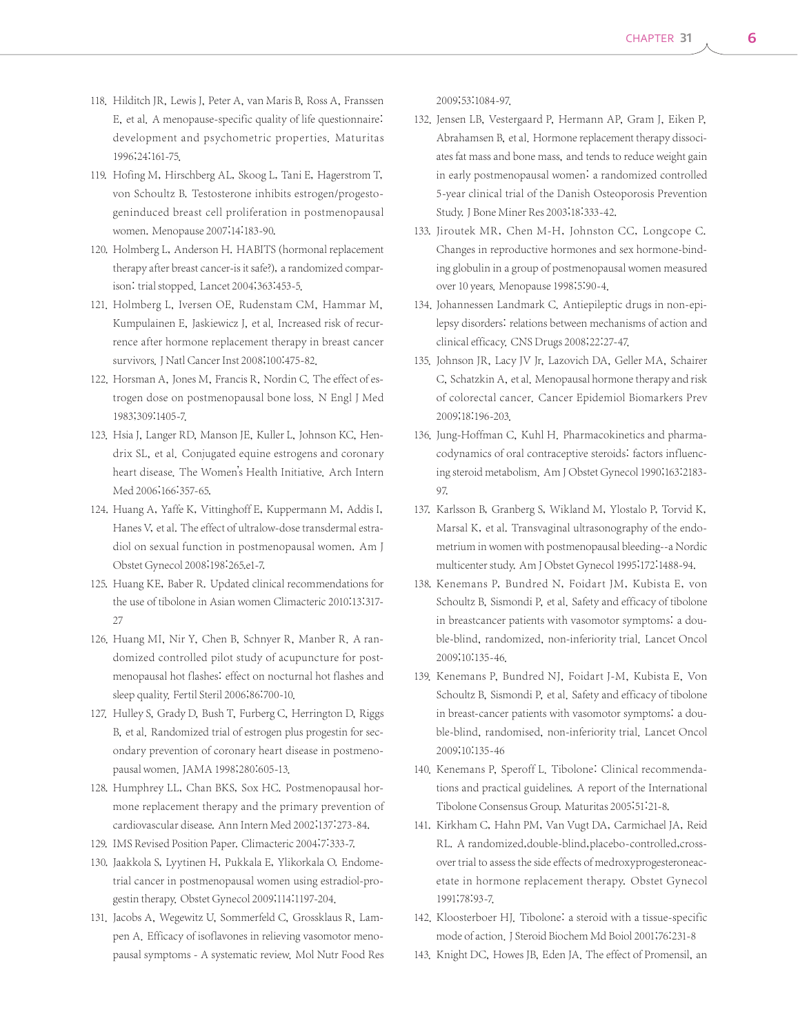- 118. Hilditch JR, Lewis J, Peter A, van Maris B, Ross A, Franssen E, et al. A menopause-specific quality of life questionnaire: development and psychometric properties. Maturitas 1996;24:161-75.
- 119. Hofing M, Hirschberg AL, Skoog L, Tani E, Hagerstrom T, von Schoultz B. Testosterone inhibits estrogen/progestogeninduced breast cell proliferation in postmenopausal women. Menopause 2007;14:183-90.
- 120. Holmberg L, Anderson H. HABITS (hormonal replacement therapy after breast cancer-is it safe?), a randomized comparison: trial stopped. Lancet 2004;363:453-5.
- 121. Holmberg L, Iversen OE, Rudenstam CM, Hammar M, Kumpulainen E, Jaskiewicz J, et al. Increased risk of recurrence after hormone replacement therapy in breast cancer survivors. J Natl Cancer Inst 2008;100:475-82.
- 122. Horsman A, Jones M, Francis R, Nordin C. The effect of estrogen dose on postmenopausal bone loss. N Engl J Med 1983;309:1405-7.
- 123. Hsia J, Langer RD, Manson JE, Kuller L, Johnson KC, Hendrix SL, et al. Conjugated equine estrogens and coronary heart disease. The Women's Health Initiative. Arch Intern Med 2006;166:357-65.
- 124. Huang A, Yaffe K, Vittinghoff E, Kuppermann M, Addis I, Hanes V, et al. The effect of ultralow-dose transdermal estradiol on sexual function in postmenopausal women. Am J Obstet Gynecol 2008;198:265.e1-7.
- 125. Huang KE, Baber R. Updated clinical recommendations for the use of tibolone in Asian women Climacteric 2010:13:317- 27
- 126. Huang MI, Nir Y, Chen B, Schnyer R, Manber R. A randomized controlled pilot study of acupuncture for postmenopausal hot flashes: effect on nocturnal hot flashes and sleep quality. Fertil Steril 2006;86:700-10.
- 127. Hulley S, Grady D, Bush T, Furberg C, Herrington D, Riggs B, et al. Randomized trial of estrogen plus progestin for secondary prevention of coronary heart disease in postmenopausal women.JAMA 1998;280:605-13.
- 128. Humphrey LL, Chan BKS, Sox HC. Postmenopausal hormone replacement therapy and the primary prevention of cardiovascular disease. Ann Intern Med 2002;137:273-84.
- 129. IMS Revised Position Paper. Climacteric 2004;7:333-7.
- 130. Jaakkola S, Lyytinen H, Pukkala E, Ylikorkala O. Endometrial cancer in postmenopausal women using estradiol-progestin therapy. Obstet Gynecol 2009;114:1197-204.
- 131. Jacobs A, Wegewitz U, Sommerfeld C, Grossklaus R, Lampen A. Efficacy of isoflavones in relieving vasomotor menopausal symptoms - A systematic review. Mol Nutr Food Res

2009;53:1084-97.

- 132. Jensen LB, Vestergaard P, Hermann AP, Gram J, Eiken P, Abrahamsen B, et al. Hormone replacement therapy dissociates fat mass and bone mass, and tends to reduce weight gain in early postmenopausal women: a randomized controlled 5-year clinical trial of the Danish Osteoporosis Prevention Study.J Bone Miner Res 2003;18:333-42.
- 133. Jiroutek MR, Chen M-H, Johnston CC, Longcope C. Changes in reproductive hormones and sex hormone-binding globulin in a group of postmenopausal women measured over 10 years. Menopause 1998;5:90-4.
- 134. Johannessen Landmark C. Antiepileptic drugs in non-epilepsy disorders: relations between mechanisms of action and clinical efficacy. CNS Drugs 2008;22:27-47.
- 135. Johnson JR, Lacy JV Jr, Lazovich DA, Geller MA, Schairer C, Schatzkin A, et al. Menopausal hormone therapy and risk of colorectal cancer. Cancer Epidemiol Biomarkers Prev 2009;18:196-203.
- 136. Jung-Hoffman C, Kuhl H. Pharmacokinetics and pharmacodynamics of oral contraceptive steroids: factors influencing steroid metabolism. Am J Obstet Gynecol 1990;163:2183- 97.
- 137. Karlsson B, Granberg S, Wikland M, Ylostalo P, Torvid K, Marsal K, et al. Transvaginal ultrasonography of the endometrium in women with postmenopausal bleeding--a Nordic multicenter study. Am J Obstet Gynecol 1995;172:1488-94.
- 138. Kenemans P, Bundred N, Foidart JM, Kubista E, von Schoultz B, Sismondi P, et al. Safety and efficacy of tibolone in breastcancer patients with vasomotor symptoms: a double-blind, randomized, non-inferiority trial. Lancet Oncol 2009;10:135-46.
- 139. Kenemans P, Bundred NJ, Foidart J-M, Kubista E, Von Schoultz B, Sismondi P, et al. Safety and efficacy of tibolone in breast-cancer patients with vasomotor symptoms: a double-blind, randomised, non-inferiority trial. Lancet Oncol 2009;10:135-46
- 140. Kenemans P, Speroff L. Tibolone: Clinical recommendations and practical guidelines. A report of the International Tibolone Consensus Group. Maturitas 2005;51:21-8.
- 141. Kirkham C, Hahn PM, Van Vugt DA, Carmichael JA, Reid RL. A randomized,double-blind,placebo-controlled,crossover trial to assess the side effects of medroxyprogesteroneacetate in hormone replacement therapy. Obstet Gynecol 1991;78:93-7.
- 142. Kloosterboer HJ. Tibolone: a steroid with a tissue-specific mode of action. J Steroid Biochem Md Boiol 2001;76:231-8
- 143. Knight DC, Howes JB, Eden JA. The effect of Promensil, an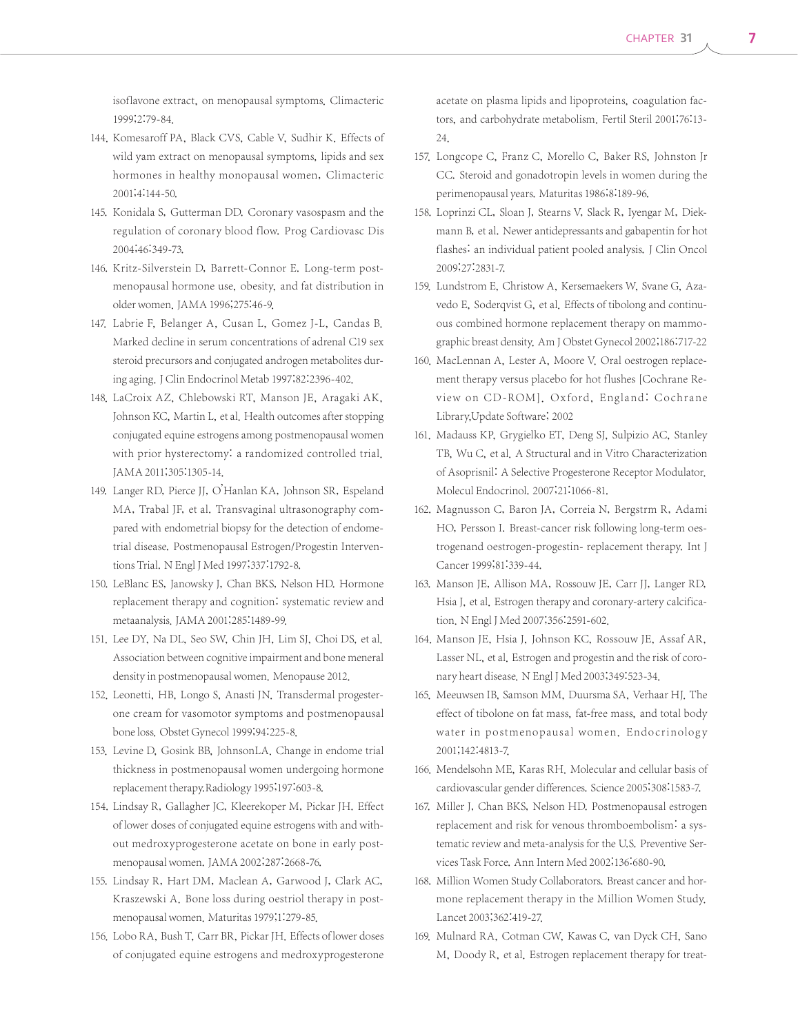isoflavone extract, on menopausal symptoms. Climacteric 1999;2:79-84.

- 144. Komesaroff PA, Black CVS, Cable V, Sudhir K. Effects of wild yam extract on menopausal symptoms, lipids and sex hormones in healthy monopausal women, Climacteric 2001;4:144-50.
- 145. Konidala S, Gutterman DD. Coronary vasospasm and the regulation of coronary blood flow. Prog Cardiovasc Dis 2004;46:349-73.
- 146. Kritz-Silverstein D, Barrett-Connor E. Long-term postmenopausal hormone use, obesity, and fat distribution in older women. JAMA 1996;275:46-9.
- 147. Labrie F, Belanger A, Cusan L, Gomez J-L, Candas B. Marked decline in serum concentrations of adrenal C19 sex steroid precursors and conjugated androgen metabolites during aging. J Clin Endocrinol Metab 1997;82:2396-402.
- 148. LaCroix AZ, Chlebowski RT, Manson JE, Aragaki AK, Johnson KC, Martin L, et al. Health outcomes after stopping conjugated equine estrogens among postmenopausal women with prior hysterectomy: a randomized controlled trial. JAMA 2011;305:1305-14.
- 149. Langer RD, Pierce JJ, O'Hanlan KA, Johnson SR, Espeland MA, Trabal JF, et al. Transvaginal ultrasonography compared with endometrial biopsy for the detection of endometrial disease. Postmenopausal Estrogen/Progestin Interventions Trial. N Engl J Med 1997;337:1792-8.
- 150. LeBlanc ES, Janowsky J, Chan BKS, Nelson HD. Hormone replacement therapy and cognition: systematic review and metaanalysis.JAMA 2001;285:1489-99.
- 151. Lee DY, Na DL, Seo SW, Chin JH, Lim SJ, Choi DS, et al. Association between cognitive impairment and bone meneral density in postmenopausal women. Menopause 2012.
- 152. Leonetti, HB, Longo S, Anasti JN. Transdermal progesterone cream for vasomotor symptoms and postmenopausal bone loss. Obstet Gynecol 1999;94:225-8.
- 153. Levine D, Gosink BB, JohnsonLA. Change in endome trial thickness in postmenopausal women undergoing hormone replacement therapy.Radiology 1995;197:603-8.
- 154. Lindsay R, Gallagher JC, Kleerekoper M, Pickar JH. Effect of lower doses of conjugated equine estrogens with and without medroxyprogesterone acetate on bone in early postmenopausal women.JAMA 2002;287:2668-76.
- 155. Lindsay R, Hart DM, Maclean A, Garwood J, Clark AC, Kraszewski A. Bone loss during oestriol therapy in postmenopausal women. Maturitas 1979;1:279-85.
- 156. Lobo RA, Bush T, Carr BR, Pickar JH. Effects of lower doses of conjugated equine estrogens and medroxyprogesterone

acetate on plasma lipids and lipoproteins, coagulation factors, and carbohydrate metabolism. Fertil Steril 2001;76:13- 24.

- 157. Longcope C, Franz C, Morello C, Baker RS, Johnston Jr CC. Steroid and gonadotropin levels in women during the perimenopausal years. Maturitas 1986;8:189-96.
- 158. Loprinzi CL, Sloan J, Stearns V, Slack R, Iyengar M, Diekmann B, et al. Newer antidepressants and gabapentin for hot flashes: an individual patient pooled analysis. J Clin Oncol 2009;27:2831-7.
- 159. Lundstrom E, Christow A, Kersemaekers W, Svane G, Azavedo E, Soderqvist G, et al. Effects of tibolong and continuous combined hormone replacement therapy on mammographic breast density. Am J Obstet Gynecol 2002;186:717-22
- 160. MacLennan A, Lester A, Moore V. Oral oestrogen replacement therapy versus placebo for hot flushes [Cochrane Review on CD-ROM]. Oxford, England: Cochrane Library,Update Software; 2002
- 161. Madauss KP, Grygielko ET, Deng SJ, Sulpizio AC, Stanley TB, Wu C, et al. A Structural and in Vitro Characterization of Asoprisnil: A Selective Progesterone Receptor Modulator. Molecul Endocrinol. 2007;21:1066-81.
- 162. Magnusson C, Baron JA, Correia N, Bergstrm R, Adami HO, Persson I. Breast-cancer risk following long-term oestrogenand oestrogen-progestin- replacement therapy. Int J Cancer 1999;81:339-44.
- 163. Manson JE, Allison MA, Rossouw JE, Carr JJ, Langer RD, Hsia J, et al. Estrogen therapy and coronary-artery calcification. N Engl J Med 2007;356:2591-602.
- 164. Manson JE, Hsia J, Johnson KC, Rossouw JE, Assaf AR, Lasser NL, et al. Estrogen and progestin and the risk of coronary heart disease. N Engl J Med 2003;349:523-34.
- 165. Meeuwsen IB, Samson MM, Duursma SA, Verhaar HJ. The effect of tibolone on fat mass, fat-free mass, and total body water in postmenopausal women. Endocrinology 2001;142:4813-7.
- 166. Mendelsohn ME, Karas RH. Molecular and cellular basis of cardiovascular gender differences. Science 2005;308:1583-7.
- 167. Miller J, Chan BKS, Nelson HD. Postmenopausal estrogen replacement and risk for venous thromboembolism: a systematic review and meta-analysis for the U.S. Preventive Services Task Force. Ann Intern Med 2002;136:680-90.
- 168. Million Women Study Collaborators. Breast cancer and hormone replacement therapy in the Million Women Study. Lancet 2003;362:419-27.
- 169. Mulnard RA, Cotman CW, Kawas C, van Dyck CH, Sano M, Doody R, et al. Estrogen replacement therapy for treat-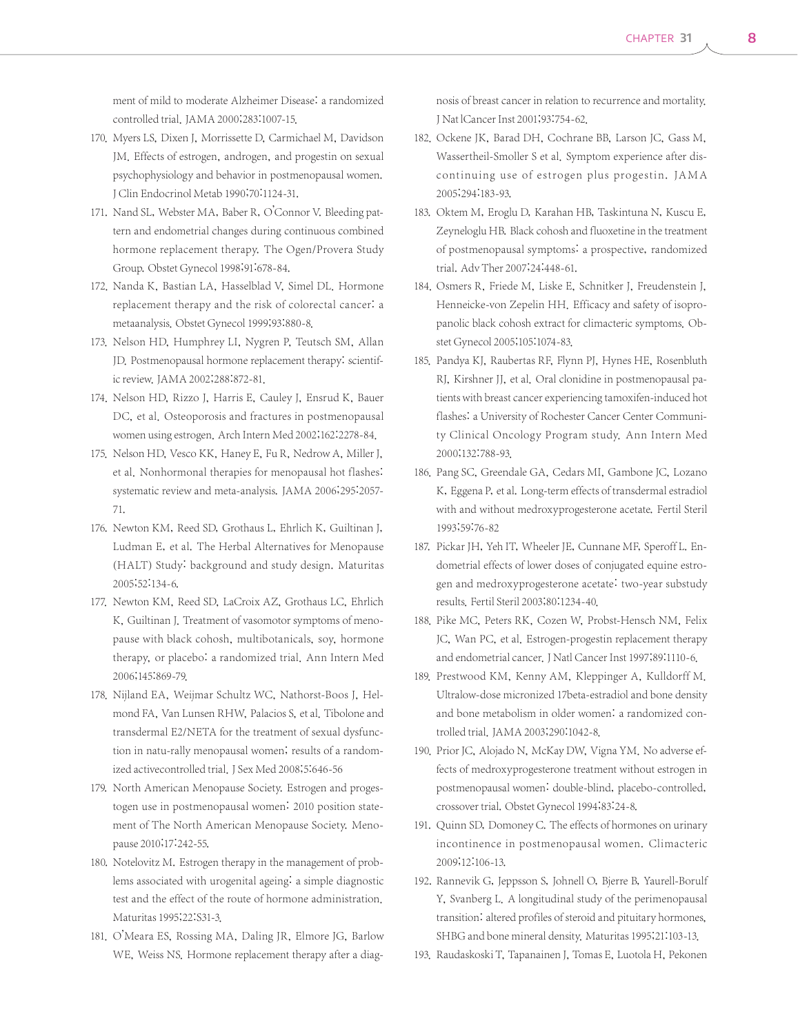ment of mild to moderate Alzheimer Disease: a randomized controlled trial. JAMA 2000;283:1007-15.

- 170. Myers LS, Dixen J, Morrissette D, Carmichael M, Davidson JM. Effects of estrogen, androgen, and progestin on sexual psychophysiology and behavior in postmenopausal women. J Clin Endocrinol Metab 1990;70:1124-31.
- 171. Nand SL, Webster MA, Baber R, O'Connor V. Bleeding pattern and endometrial changes during continuous combined hormone replacement therapy. The Ogen/Provera Study Group. Obstet Gynecol 1998;91:678-84.
- 172. Nanda K, Bastian LA, Hasselblad V, Simel DL, Hormone replacement therapy and the risk of colorectal cancer: a metaanalysis. Obstet Gynecol 1999;93:880-8.
- 173. Nelson HD, Humphrey LI, Nygren P, Teutsch SM, Allan JD. Postmenopausal hormone replacement therapy: scientific review. JAMA 2002;288:872-81.
- 174. Nelson HD, Rizzo J, Harris E, Cauley J, Ensrud K, Bauer DC, et al. Osteoporosis and fractures in postmenopausal women using estrogen. Arch Intern Med 2002;162:2278-84.
- 175. Nelson HD, Vesco KK, Haney E, Fu R, Nedrow A, Miller J, et al. Nonhormonal therapies for menopausal hot flashes: systematic review and meta-analysis. JAMA 2006;295:2057- 71.
- 176. Newton KM, Reed SD, Grothaus L, Ehrlich K, Guiltinan J, Ludman E, et al. The Herbal Alternatives for Menopause (HALT) Study: background and study design. Maturitas 2005;52:134-6.
- 177. Newton KM, Reed SD, LaCroix AZ, Grothaus LC, Ehrlich K, Guiltinan J. Treatment of vasomotor symptoms of menopause with black cohosh, multibotanicals, soy, hormone therapy, or placebo: a randomized trial. Ann Intern Med 2006;145:869-79.
- 178. Nijland EA, Weijmar Schultz WC, Nathorst-Boos J, Helmond FA, Van Lunsen RHW, Palacios S, et al. Tibolone and transdermal E2/NETA for the treatment of sexual dysfunction in natu-rally menopausal women; results of a randomized activecontrolled trial. J Sex Med 2008;5:646-56
- 179. North American Menopause Society. Estrogen and progestogen use in postmenopausal women: 2010 position statement of The North American Menopause Society. Menopause 2010;17:242-55.
- 180. Notelovitz M. Estrogen therapy in the management of problems associated with urogenital ageing: a simple diagnostic test and the effect of the route of hormone administration. Maturitas 1995;22:S31-3.
- 181. O'Meara ES, Rossing MA, Daling JR, Elmore JG, Barlow WE, Weiss NS. Hormone replacement therapy after a diag-

nosis of breast cancer in relation to recurrence and mortality. J Nat lCancer Inst 2001;93:754-62.

- 182. Ockene JK, Barad DH, Cochrane BB, Larson JC, Gass M, Wassertheil-Smoller S et al. Symptom experience after discontinuing use of estrogen plus progestin. JA M A 2005;294:183-93.
- 183. Oktem M, Eroglu D, Karahan HB, Taskintuna N, Kuscu E, Zeyneloglu HB. Black cohosh and fluoxetine in the treatment of postmenopausal symptoms: a prospective, randomized trial. Adv Ther 2007;24:448-61.
- 184. Osmers R, Friede M, Liske E, Schnitker J, Freudenstein J, Henneicke-von Zepelin HH. Efficacy and safety of isopropanolic black cohosh extract for climacteric symptoms. Obstet Gynecol 2005;105:1074-83.
- 185. Pandya KJ, Raubertas RF, Flynn PJ, Hynes HE, Rosenbluth RJ, Kirshner JJ, et al. Oral clonidine in postmenopausal patients with breast cancer experiencing tamoxifen-induced hot flashes: a University of Rochester Cancer Center Community Clinical Oncology Program study. Ann Intern Med 2000;132:788-93.
- 186. Pang SC, Greendale GA, Cedars MI, Gambone JC, Lozano K, Eggena P, et al. Long-term effects of transdermal estradiol with and without medroxyprogesterone acetate. Fertil Steril 1993;59:76-82
- 187. Pickar JH, Yeh IT, Wheeler JE, Cunnane MF, Speroff L. Endometrial effects of lower doses of conjugated equine estrogen and medroxyprogesterone acetate: two-year substudy results. Fertil Steril 2003;80:1234-40.
- 188. Pike MC, Peters RK, Cozen W, Probst-Hensch NM, Felix JC, Wan PC, et al. Estrogen-progestin replacement therapy and endometrial cancer. J Natl Cancer Inst 1997;89:1110-6.
- 189. Prestwood KM, Kenny AM, Kleppinger A, Kulldorff M. Ultralow-dose micronized 17beta-estradiol and bone density and bone metabolism in older women: a randomized controlled trial. JAMA 2003;290:1042-8.
- 190. Prior JC, Alojado N, McKay DW, Vigna YM. No adverse effects of medroxyprogesterone treatment without estrogen in postmenopausal women: double-blind, placebo-controlled, crossover trial. Obstet Gynecol 1994;83:24-8.
- 191. Quinn SD, Domoney C. The effects of hormones on urinary incontinence in postmenopausal women. Climacteric 2009;12:106-13.
- 192. Rannevik G, Jeppsson S, Johnell O, Bjerre B, Yaurell-Borulf Y, Svanberg L. A longitudinal study of the perimenopausal transition: altered profiles of steroid and pituitary hormones, SHBG and bone mineral density. Maturitas 1995;21:103-13.
- 193. Raudaskoski T, Tapanainen J, Tomas E, Luotola H, Pekonen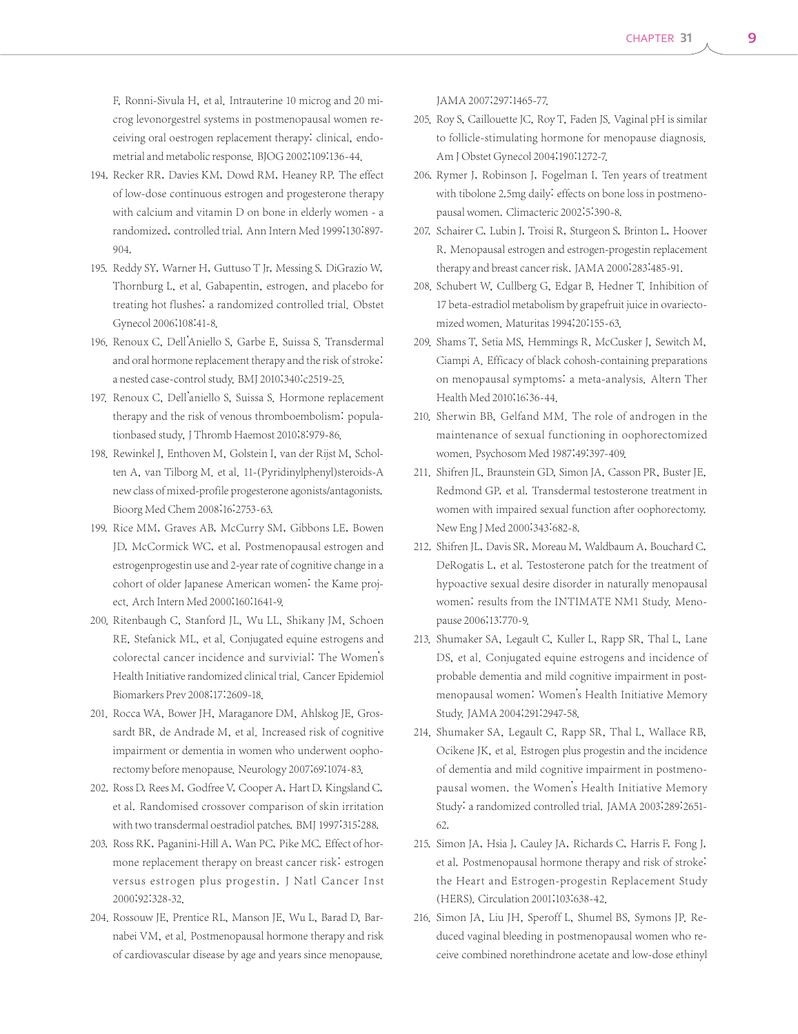F, Ronni-Sivula H, et al. Intrauterine 10 microg and 20 microg levonorgestrel systems in postmenopausal women receiving oral oestrogen replacement therapy: clinical, endometrial and metabolic response. BJOG 2002;109:136-44.

- 194. Recker RR, Davies KM, Dowd RM, Heaney RP. The effect of low-dose continuous estrogen and progesterone therapy with calcium and vitamin D on bone in elderly women - a randomized, controlled trial. Ann Intern Med 1999;130:897- 904.
- 195. Reddy SY, Warner H, Guttuso T Jr, Messing S. DiGrazio W, Thornburg L, et al. Gabapentin, estrogen, and placebo for treating hot flushes: a randomized controlled trial. Obstet Gynecol 2006;108:41-8.
- 196. Renoux C, Dell'Aniello S, Garbe E, Suissa S. Transdermal and oral hormone replacement therapy and the risk of stroke: a nested case-control study. BMJ 2010;340:c2519-25.
- 197. Renoux C, Dell'aniello S, Suissa S. Hormone replacement therapy and the risk of venous thromboembolism: populationbased study, J Thromb Haemost 2010;8:979-86.
- 198. Rewinkel J, Enthoven M, Golstein I, van der Rijst M, Scholten A, van Tilborg M. et al. 11-(Pyridinylphenyl)steroids-A new class of mixed-profile progesterone agonists/antagonists. Bioorg Med Chem 2008;16:2753-63.
- 199. Rice MM, Graves AB, McCurry SM, Gibbons LE, Bowen JD, McCormick WC, et al. Postmenopausal estrogen and estrogenprogestin use and 2-year rate of cognitive change in a cohort of older Japanese American women: the Kame project. Arch Intern Med 2000;160:1641-9.
- 200. Ritenbaugh C, Stanford JL, Wu LL, Shikany JM, Schoen RE, Stefanick ML, et al. Conjugated equine estrogens and colorectal cancer incidence and survivial: The Women's Health Initiative randomized clinical trial. Cancer Epidemiol Biomarkers Prev 2008;17:2609-18.
- 201. Rocca WA, Bower JH, Maraganore DM, Ahlskog JE, Grossardt BR, de Andrade M, et al. Increased risk of cognitive impairment or dementia in women who underwent oophorectomy before menopause. Neurology 2007;69:1074-83.
- 202. Ross D, Rees M, Godfree V, Cooper A, Hart D, Kingsland C, et al. Randomised crossover comparison of skin irritation with two transdermal oestradiol patches. BMJ 1997;315:288.
- 203. Ross RK, Paganini-Hill A, Wan PC, Pike MC. Effect of hormone replacement therapy on breast cancer risk: estrogen versus estrogen plus progestin. J Natl Cancer Inst 2000;92:328-32.
- 204. Rossouw JE, Prentice RL, Manson JE, Wu L, Barad D, Barnabei VM, et al. Postmenopausal hormone therapy and risk of cardiovascular disease by age and years since menopause.

JAMA 2007;297:1465-77.

- 205. Roy S, Caillouette JC, Roy T, Faden JS. Vaginal pH is similar to follicle-stimulating hormone for menopause diagnosis. Am J Obstet Gynecol 2004;190:1272-7.
- 206. Rymer J, Robinson J, Fogelman I. Ten years of treatment with tibolone 2.5mg daily: effects on bone loss in postmenopausal women. Climacteric 2002;5:390-8.
- 207. Schairer C, Lubin J, Troisi R, Sturgeon S, Brinton L, Hoover R. Menopausal estrogen and estrogen-progestin replacement therapy and breast cancer risk. JAMA 2000;283:485-91.
- 208. Schubert W, Cullberg G, Edgar B, Hedner T. Inhibition of 17 beta-estradiol metabolism by grapefruit juice in ovariectomized women. Maturitas 1994;20:155-63.
- 209. Shams T, Setia MS, Hemmings R, McCusker J, Sewitch M, Ciampi A. Efficacy of black cohosh-containing preparations on menopausal symptoms: a meta-analysis. Altern Ther Health Med 2010;16:36-44.
- 210. Sherwin BB, Gelfand MM. The role of androgen in the maintenance of sexual functioning in oophorectomized women. Psychosom Med 1987;49:397-409.
- 211. Shifren JL, Braunstein GD, Simon JA, Casson PR, Buster JE, Redmond GP, et al. Transdermal testosterone treatment in women with impaired sexual function after oophorectomy. New Eng J Med 2000;343:682-8.
- 212. Shifren JL, Davis SR, Moreau M, Waldbaum A, Bouchard C, DeRogatis L, et al. Testosterone patch for the treatment of hypoactive sexual desire disorder in naturally menopausal women: results from the INTIMATE NM1 Study. Menopause 2006;13:770-9.
- 213. Shumaker SA, Legault C, Kuller L, Rapp SR, Thal L, Lane DS, et al. Conjugated equine estrogens and incidence of probable dementia and mild cognitive impairment in postmenopausal women: Women's Health Initiative Memory Study.JAMA 2004;291:2947-58.
- 214. Shumaker SA, Legault C, Rapp SR, Thal L, Wallace RB, Ocikene JK, et al. Estrogen plus progestin and the incidence of dementia and mild cognitive impairment in postmenopausal women. the Women's Health Initiative Memory Study: a randomized controlled trial. JAMA 2003;289:2651- 62.
- 215. Simon JA, Hsia J, Cauley JA, Richards C, Harris F, Fong J, et al. Postmenopausal hormone therapy and risk of stroke: the Heart and Estrogen-progestin Replacement Study (HERS). Circulation 2001;103:638-42.
- 216. Simon JA, Liu JH, Speroff L, Shumel BS, Symons JP. Reduced vaginal bleeding in postmenopausal women who receive combined norethindrone acetate and low-dose ethinyl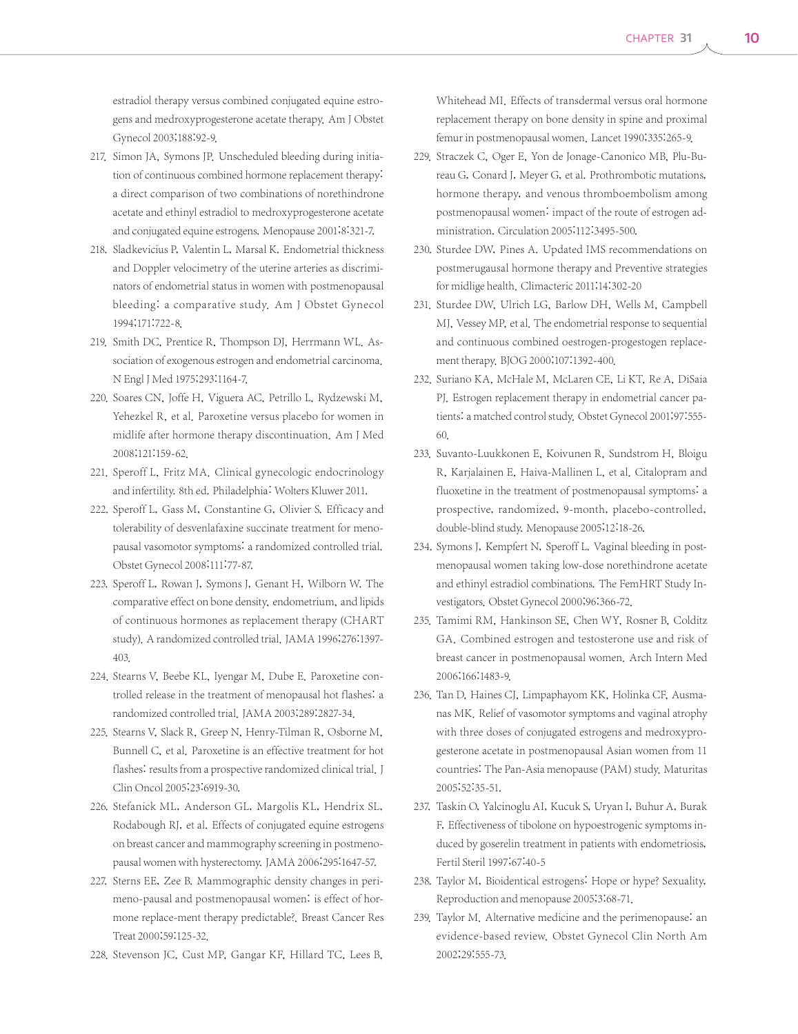estradiol therapy versus combined conjugated equine estrogens and medroxyprogesterone acetate therapy. Am J Obstet Gynecol 2003;188:92-9.

- 217. Simon JA, Symons JP. Unscheduled bleeding during initiation of continuous combined hormone replacement therapy: a direct comparison of two combinations of norethindrone acetate and ethinyl estradiol to medroxyprogesterone acetate and conjugated equine estrogens. Menopause 2001;8:321-7.
- 218. Sladkevicius P, Valentin L, Marsal K. Endometrial thickness and Doppler velocimetry of the uterine arteries as discriminators of endometrial status in women with postmenopausal bleeding: a comparative study. Am J Obstet Gynecol 1994;171:722-8.
- 219. Smith DC, Prentice R, Thompson DJ, Herrmann WL. Association of exogenous estrogen and endometrial carcinoma. N Engl J Med 1975;293:1164-7.
- 220. Soares CN, Joffe H, Viguera AC, Petrillo L, Rydzewski M, Yehezkel R, et al. Paroxetine versus placebo for women in midlife after hormone therapy discontinuation. Am J Med 2008;121:159-62.
- 221. Speroff L, Fritz MA. Clinical gynecologic endocrinology and infertility. 8th ed. Philadelphia: Wolters Kluwer 2011.
- 222. Speroff L, Gass M, Constantine G, Olivier S. Efficacy and tolerability of desvenlafaxine succinate treatment for menopausal vasomotor symptoms: a randomized controlled trial. Obstet Gynecol 2008;111:77-87.
- 223. Speroff L, Rowan J, Symons J, Genant H, Wilborn W. The comparative effect on bone density, endometrium, and lipids of continuous hormones as replacement therapy (CHART study). A randomized controlled trial. JAMA 1996;276:1397-403.
- 224. Stearns V, Beebe KL, Iyengar M, Dube E. Paroxetine controlled release in the treatment of menopausal hot flashes: a randomized controlled trial. JAMA 2003;289:2827-34.
- 225. Stearns V, Slack R, Greep N, Henry-Tilman R, Osborne M, Bunnell C, et al. Paroxetine is an effective treatment for hot flashes: results from a prospective randomized clinical trial. J Clin Oncol 2005;23:6919-30.
- 226. Stefanick ML, Anderson GL, Margolis KL, Hendrix SL, Rodabough RJ, et al. Effects of conjugated equine estrogens on breast cancer and mammography screening in postmenopausal women with hysterectomy. JAMA 2006;295:1647-57.
- 227. Sterns EE, Zee B. Mammographic density changes in perimeno-pausal and postmenopausal women: is effect of hormone replace-ment therapy predictable?. Breast Cancer Res Treat 2000;59:125-32.
- 228. Stevenson JC, Cust MP, Gangar KF, Hillard TC, Lees B,

Whitehead MI. Effects of transdermal versus oral hormone replacement therapy on bone density in spine and proximal femur in postmenopausal women. Lancet 1990;335:265-9.

- 229. Straczek C, Oger E, Yon de Jonage-Canonico MB, Plu-Bureau G, Conard J, Meyer G, et al. Prothrombotic mutations, hormone therapy, and venous thromboembolism among postmenopausal women: impact of the route of estrogen administration. Circulation 2005;112:3495-500.
- 230. Sturdee DW, Pines A. Updated IMS recommendations on postmerugausal hormone therapy and Preventive strategies for midlige health. Climacteric 2011;14:302-20
- 231. Sturdee DW, Ulrich LG, Barlow DH, Wells M, Campbell MJ, Vessey MP, et al. The endometrial response to sequential and continuous combined oestrogen-progestogen replacement therapy. BJOG 2000;107:1392-400.
- 232. Suriano KA, McHale M, McLaren CE, Li KT, Re A, DiSaia PJ. Estrogen replacement therapy in endometrial cancer patients: a matched control study. Obstet Gynecol 2001;97:555-60.
- 233. Suvanto-Luukkonen E, Koivunen R, Sundstrom H, Bloigu R, Karjalainen E, Haiva-Mallinen L, et al. Citalopram and fluoxetine in the treatment of postmenopausal symptoms: a prospective, randomized, 9-month, placebo-controlled, double-blind study. Menopause 2005;12:18-26.
- 234. Symons J, Kempfert N, Speroff L. Vaginal bleeding in postmenopausal women taking low-dose norethindrone acetate and ethinyl estradiol combinations. The FemHRT Study Investigators. Obstet Gynecol 2000;96:366-72.
- 235. Tamimi RM, Hankinson SE, Chen WY, Rosner B, Colditz GA. Combined estrogen and testosterone use and risk of breast cancer in postmenopausal women. Arch Intern Med 2006;166:1483-9.
- 236. Tan D, Haines CJ, Limpaphayom KK, Holinka CF, Ausmanas MK. Relief of vasomotor symptoms and vaginal atrophy with three doses of conjugated estrogens and medroxyprogesterone acetate in postmenopausal Asian women from 11 countries: The Pan-Asia menopause (PAM) study. Maturitas 2005;52:35-51.
- 237. Taskin O, Yalcinoglu AI, Kucuk S, Uryan I, Buhur A, Burak F, Effectiveness of tibolone on hypoestrogenic symptoms induced by goserelin treatment in patients with endometriosis, Fertil Steril 1997;67:40-5
- 238. Taylor M, Bioidentical estrogens: Hope or hype? Sexuality, Reproduction and menopause 2005;3:68-71.
- 239. Taylor M. Alternative medicine and the perimenopause: an evidence-based review. Obstet Gynecol Clin North Am 2002;29:555-73.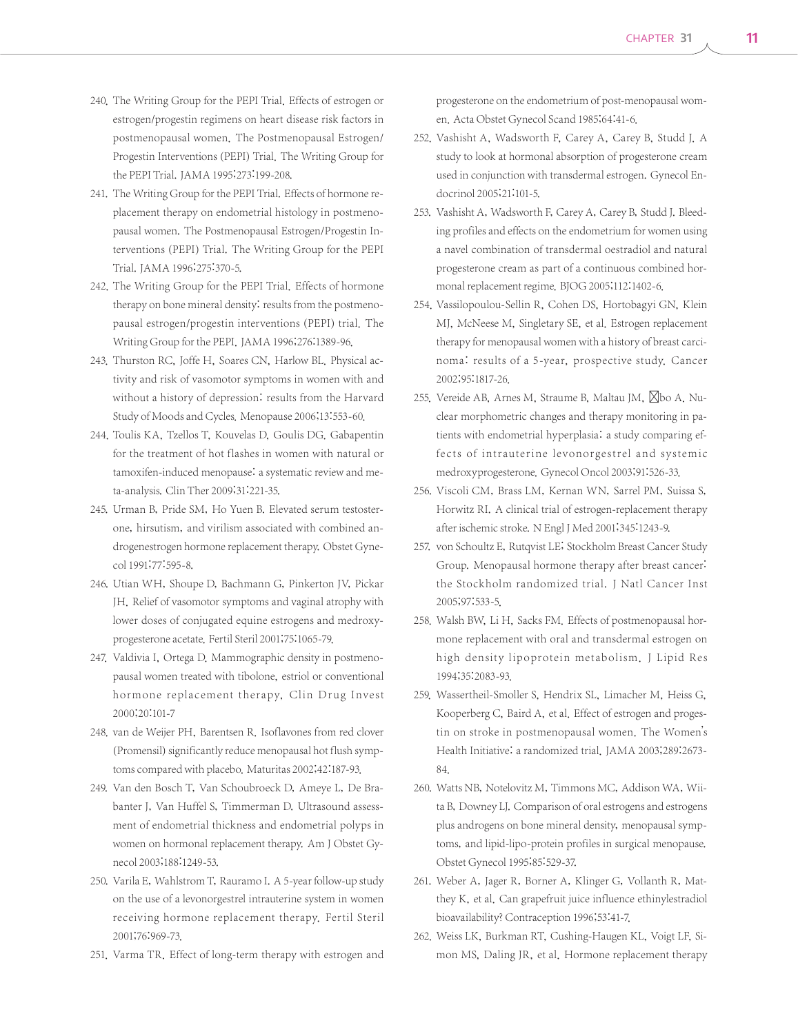- 240. The Writing Group for the PEPI Trial. Effects of estrogen or estrogen/progestin regimens on heart disease risk factors in postmenopausal women. The Postmenopausal Estrogen/ Progestin Interventions (PEPI) Trial. The Writing Group for the PEPI Trial. JAMA 1995;273:199-208.
- 241. The Writing Group for the PEPI Trial. Effects of hormone replacement therapy on endometrial histology in postmenopausal women. The Postmenopausal Estrogen/Progestin Interventions (PEPI) Trial. The Writing Group for the PEPI Trial. JAMA 1996;275:370-5.
- 242. The Writing Group for the PEPI Trial. Effects of hormone therapy on bone mineral density: results from the postmenopausal estrogen/progestin interventions (PEPI) trial. The Writing Group for the PEPI. JAMA 1996;276:1389-96.
- 243. Thurston RC, Joffe H, Soares CN, Harlow BL. Physical activity and risk of vasomotor symptoms in women with and without a history of depression: results from the Harvard Study of Moods and Cycles. Menopause 2006;13:553-60.
- 244. Toulis KA, Tzellos T, Kouvelas D, Goulis DG, Gabapentin for the treatment of hot flashes in women with natural or tamoxifen-induced menopause: a systematic review and meta-analysis. Clin Ther 2009;31:221-35.
- 245. Urman B, Pride SM, Ho Yuen B. Elevated serum testosterone, hirsutism, and virilism associated with combined androgenestrogen hormone replacement therapy. Obstet Gynecol 1991;77:595-8.
- 246. Utian WH, Shoupe D, Bachmann G, Pinkerton JV, Pickar JH. Relief of vasomotor symptoms and vaginal atrophy with lower doses of conjugated equine estrogens and medroxyprogesterone acetate. Fertil Steril 2001;75:1065-79.
- 247. Valdivia I, Ortega D. Mammographic density in postmenopausal women treated with tibolone, estriol or conventional hormone replacement therapy, Clin Drug Invest 2000;20:101-7
- 248. van de Weijer PH, Barentsen R. Isoflavones from red clover (Promensil) significantly reduce menopausal hot flush symptoms compared with placebo. Maturitas 2002;42:187-93.
- 249. Van den Bosch T, Van Schoubroeck D, Ameye L, De Brabanter J, Van Huffel S, Timmerman D. Ultrasound assessment of endometrial thickness and endometrial polyps in women on hormonal replacement therapy. Am J Obstet Gynecol 2003;188:1249-53.
- 250. Varila E, Wahlstrom T, Rauramo I. A 5-year follow-up study on the use of a levonorgestrel intrauterine system in women receiving hormone replacement therapy. Fertil Steril 2001;76:969-73.
- 251. Varma TR. Effect of long-term therapy with estrogen and

progesterone on the endometrium of post-menopausal women. Acta Obstet Gynecol Scand 1985;64:41-6.

- 252. Vashisht A, Wadsworth F, Carey A, Carey B, Studd J. A study to look at hormonal absorption of progesterone cream used in conjunction with transdermal estrogen. Gynecol Endocrinol 2005;21:101-5.
- 253. Vashisht A, Wadsworth F, Carey A, Carey B, Studd J. Bleeding profiles and effects on the endometrium for women using a navel combination of transdermal oestradiol and natural progesterone cream as part of a continuous combined hormonal replacement regime. BJOG 2005;112:1402-6.
- 254. Vassilopoulou-Sellin R, Cohen DS, Hortobagyi GN, Klein MJ, McNeese M, Singletary SE, et al. Estrogen replacement therapy for menopausal women with a history of breast carcinoma: results of a 5-year, prospective study. Cancer 2002;95:1817-26.
- 255. Vereide AB, Arnes M, Straume B, Maltau JM,  $\boxtimes$ bo A. Nuclear morphometric changes and therapy monitoring in patients with endometrial hyperplasia: a study comparing effects of intrauterine levonorgestrel and systemic medroxyprogesterone. Gynecol Oncol 2003;91:526-33.
- 256. Viscoli CM, Brass LM, Kernan WN, Sarrel PM, Suissa S, Horwitz RI. A clinical trial of estrogen-replacement therapy after ischemic stroke. N Engl J Med 2001;345:1243-9.
- 257. von Schoultz E, Rutqvist LE; Stockholm Breast Cancer Study Group. Menopausal hormone therapy after breast cancer: the Stockholm randomized trial. J Natl Cancer Inst 2005;97:533-5.
- 258. Walsh BW, Li H, Sacks FM. Effects of postmenopausal hormone replacement with oral and transdermal estrogen on high density lipoprotein metabolism. J Lipid Res 1994;35:2083-93.
- 259. Wassertheil-Smoller S, Hendrix SL, Limacher M, Heiss G, Kooperberg C, Baird A, et al. Effect of estrogen and progestin on stroke in postmenopausal women. The Women's Health Initiative: a randomized trial. JAMA 2003;289:2673- 84.
- 260. Watts NB, Notelovitz M, Timmons MC, Addison WA, Wiita B, Downey LJ. Comparison of oral estrogens and estrogens plus androgens on bone mineral density, menopausal symptoms, and lipid-lipo-protein profiles in surgical menopause. Obstet Gynecol 1995;85:529-37.
- 261. Weber A, Jager R, Borner A, Klinger G, Vollanth R, Matthey K, et al. Can grapefruit juice influence ethinylestradiol bioavailability? Contraception 1996;53:41-7.
- 262. Weiss LK, Burkman RT, Cushing-Haugen KL, Voigt LF, Simon MS, Daling JR, et al. Hormone replacement therapy